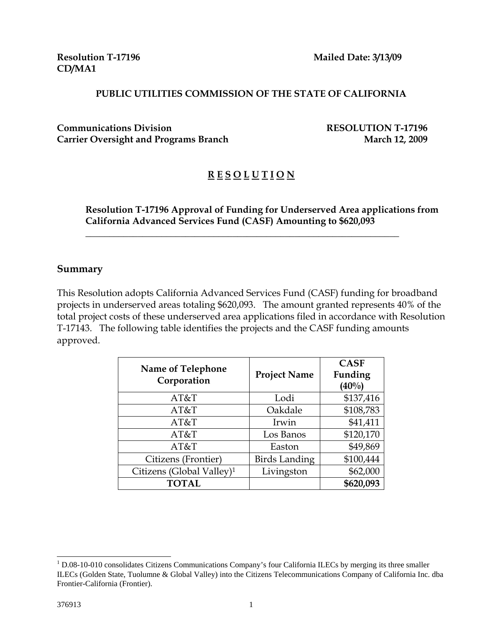**CD/MA1** 

**Resolution T-17196 Mailed Date: 3/13/09** 

#### **PUBLIC UTILITIES COMMISSION OF THE STATE OF CALIFORNIA**

**Communications Division RESOLUTION T-17196**  Carrier Oversight and Programs Branch March 12, 2009

# **R E S O L U T I O N**

 $\overline{\phantom{a}}$  , and the contract of the contract of the contract of the contract of the contract of the contract of the contract of the contract of the contract of the contract of the contract of the contract of the contrac

#### **Resolution T-17196 Approval of Funding for Underserved Area applications from California Advanced Services Fund (CASF) Amounting to \$620,093**

#### **Summary**

This Resolution adopts California Advanced Services Fund (CASF) funding for broadband projects in underserved areas totaling \$620,093. The amount granted represents 40% of the total project costs of these underserved area applications filed in accordance with Resolution T-17143. The following table identifies the projects and the CASF funding amounts approved.

| <b>Name of Telephone</b><br>Corporation | <b>Project Name</b>  | <b>CASF</b><br>Funding<br>$(40\%)$ |
|-----------------------------------------|----------------------|------------------------------------|
| AT&T                                    | Lodi                 | \$137,416                          |
| AT&T                                    | Oakdale              | \$108,783                          |
| AT&T                                    | Irwin                | \$41,411                           |
| AT&T                                    | Los Banos            | \$120,170                          |
| AT&T                                    | Easton               | \$49,869                           |
| Citizens (Frontier)                     | <b>Birds Landing</b> | \$100,444                          |
| Citizens (Global Valley) <sup>1</sup>   | Livingston           | \$62,000                           |
| <b>TOTAL</b>                            |                      | \$620,093                          |

 $\overline{\phantom{a}}$ 

<sup>&</sup>lt;sup>1</sup> D.08-10-010 consolidates Citizens Communications Company's four California ILECs by merging its three smaller ILECs (Golden State, Tuolumne & Global Valley) into the Citizens Telecommunications Company of California Inc. dba Frontier-California (Frontier).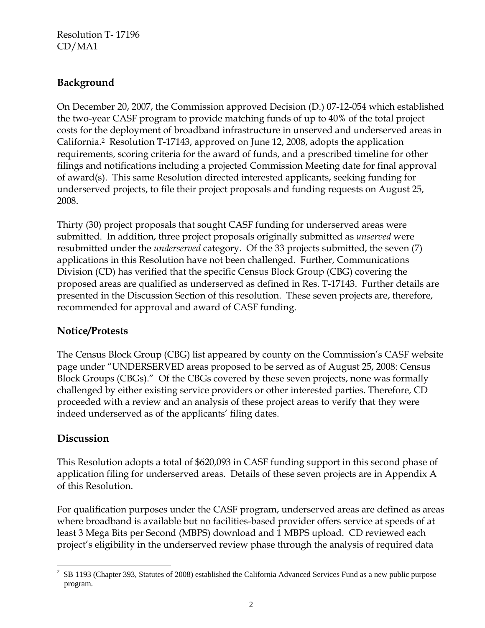## **Background**

On December 20, 2007, the Commission approved Decision (D.) 07-12-054 which established the two-year CASF program to provide matching funds of up to 40% of the total project costs for the deployment of broadband infrastructure in unserved and underserved areas in California.2 Resolution T-17143, approved on June 12, 2008, adopts the application requirements, scoring criteria for the award of funds, and a prescribed timeline for other filings and notifications including a projected Commission Meeting date for final approval of award(s). This same Resolution directed interested applicants, seeking funding for underserved projects, to file their project proposals and funding requests on August 25, 2008.

Thirty (30) project proposals that sought CASF funding for underserved areas were submitted. In addition, three project proposals originally submitted as *unserved* were resubmitted under the *underserved* category. Of the 33 projects submitted, the seven (7) applications in this Resolution have not been challenged. Further, Communications Division (CD) has verified that the specific Census Block Group (CBG) covering the proposed areas are qualified as underserved as defined in Res. T-17143. Further details are presented in the Discussion Section of this resolution. These seven projects are, therefore, recommended for approval and award of CASF funding.

## **Notice/Protests**

The Census Block Group (CBG) list appeared by county on the Commission's CASF website page under "UNDERSERVED areas proposed to be served as of August 25, 2008: Census Block Groups (CBGs)." Of the CBGs covered by these seven projects, none was formally challenged by either existing service providers or other interested parties. Therefore, CD proceeded with a review and an analysis of these project areas to verify that they were indeed underserved as of the applicants' filing dates.

## **Discussion**

This Resolution adopts a total of \$620,093 in CASF funding support in this second phase of application filing for underserved areas. Details of these seven projects are in Appendix A of this Resolution.

For qualification purposes under the CASF program, underserved areas are defined as areas where broadband is available but no facilities-based provider offers service at speeds of at least 3 Mega Bits per Second (MBPS) download and 1 MBPS upload. CD reviewed each project's eligibility in the underserved review phase through the analysis of required data

 $\overline{\phantom{a}}$  $2$  SB 1193 (Chapter 393, Statutes of 2008) established the California Advanced Services Fund as a new public purpose program.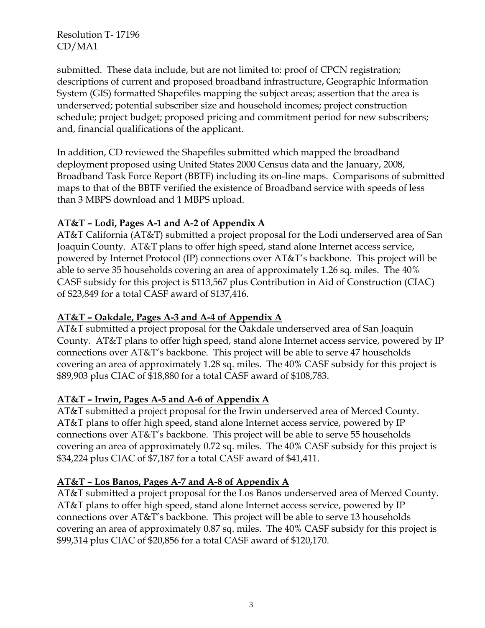submitted. These data include, but are not limited to: proof of CPCN registration; descriptions of current and proposed broadband infrastructure, Geographic Information System (GIS) formatted Shapefiles mapping the subject areas; assertion that the area is underserved; potential subscriber size and household incomes; project construction schedule; project budget; proposed pricing and commitment period for new subscribers; and, financial qualifications of the applicant.

In addition, CD reviewed the Shapefiles submitted which mapped the broadband deployment proposed using United States 2000 Census data and the January, 2008, Broadband Task Force Report (BBTF) including its on-line maps. Comparisons of submitted maps to that of the BBTF verified the existence of Broadband service with speeds of less than 3 MBPS download and 1 MBPS upload.

#### **AT&T – Lodi, Pages A-1 and A-2 of Appendix A**

AT&T California (AT&T) submitted a project proposal for the Lodi underserved area of San Joaquin County. AT&T plans to offer high speed, stand alone Internet access service, powered by Internet Protocol (IP) connections over AT&T's backbone. This project will be able to serve 35 households covering an area of approximately 1.26 sq. miles. The 40% CASF subsidy for this project is \$113,567 plus Contribution in Aid of Construction (CIAC) of \$23,849 for a total CASF award of \$137,416.

#### **AT&T – Oakdale, Pages A-3 and A-4 of Appendix A**

AT&T submitted a project proposal for the Oakdale underserved area of San Joaquin County. AT&T plans to offer high speed, stand alone Internet access service, powered by IP connections over AT&T's backbone. This project will be able to serve 47 households covering an area of approximately 1.28 sq. miles. The 40% CASF subsidy for this project is \$89,903 plus CIAC of \$18,880 for a total CASF award of \$108,783.

#### **AT&T – Irwin, Pages A-5 and A-6 of Appendix A**

AT&T submitted a project proposal for the Irwin underserved area of Merced County. AT&T plans to offer high speed, stand alone Internet access service, powered by IP connections over AT&T's backbone. This project will be able to serve 55 households covering an area of approximately 0.72 sq. miles. The 40% CASF subsidy for this project is \$34,224 plus CIAC of \$7,187 for a total CASF award of \$41,411.

## **AT&T – Los Banos, Pages A-7 and A-8 of Appendix A**

AT&T submitted a project proposal for the Los Banos underserved area of Merced County. AT&T plans to offer high speed, stand alone Internet access service, powered by IP connections over AT&T's backbone. This project will be able to serve 13 households covering an area of approximately 0.87 sq. miles. The 40% CASF subsidy for this project is \$99,314 plus CIAC of \$20,856 for a total CASF award of \$120,170.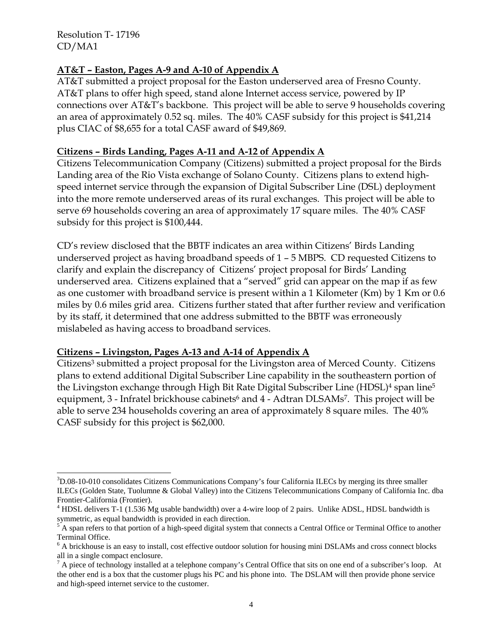$\overline{\phantom{a}}$ 

#### **AT&T – Easton, Pages A-9 and A-10 of Appendix A**

AT&T submitted a project proposal for the Easton underserved area of Fresno County. AT&T plans to offer high speed, stand alone Internet access service, powered by IP connections over AT&T's backbone. This project will be able to serve 9 households covering an area of approximately 0.52 sq. miles. The 40% CASF subsidy for this project is \$41,214 plus CIAC of \$8,655 for a total CASF award of \$49,869.

#### **Citizens – Birds Landing, Pages A-11 and A-12 of Appendix A**

Citizens Telecommunication Company (Citizens) submitted a project proposal for the Birds Landing area of the Rio Vista exchange of Solano County. Citizens plans to extend highspeed internet service through the expansion of Digital Subscriber Line (DSL) deployment into the more remote underserved areas of its rural exchanges. This project will be able to serve 69 households covering an area of approximately 17 square miles. The 40% CASF subsidy for this project is \$100,444.

CD's review disclosed that the BBTF indicates an area within Citizens' Birds Landing underserved project as having broadband speeds of 1 – 5 MBPS. CD requested Citizens to clarify and explain the discrepancy of Citizens' project proposal for Birds' Landing underserved area. Citizens explained that a "served" grid can appear on the map if as few as one customer with broadband service is present within a 1 Kilometer (Km) by 1 Km or 0.6 miles by 0.6 miles grid area. Citizens further stated that after further review and verification by its staff, it determined that one address submitted to the BBTF was erroneously mislabeled as having access to broadband services.

#### **Citizens – Livingston, Pages A-13 and A-14 of Appendix A**

Citizens<sup>3</sup> submitted a project proposal for the Livingston area of Merced County. Citizens plans to extend additional Digital Subscriber Line capability in the southeastern portion of the Livingston exchange through High Bit Rate Digital Subscriber Line (HDSL)<sup>4</sup> span line<sup>5</sup> equipment, 3 - Infratel brickhouse cabinets<sup>6</sup> and 4 - Adtran DLSAMs<sup>7</sup>. This project will be able to serve 234 households covering an area of approximately 8 square miles. The 40% CASF subsidy for this project is \$62,000.

<sup>&</sup>lt;sup>3</sup>D.08-10-010 consolidates Citizens Communications Company's four California ILECs by merging its three smaller ILECs (Golden State, Tuolumne & Global Valley) into the Citizens Telecommunications Company of California Inc. dba Frontier-California (Frontier).

<sup>&</sup>lt;sup>4</sup> HDSL delivers T-1 (1.536 Mg usable bandwidth) over a 4-wire loop of 2 pairs. Unlike ADSL, HDSL bandwidth is symmetric, as equal bandwidth is provided in each direction. 5

A span refers to that portion of a high-speed digital system that connects a Central Office or Terminal Office to another Terminal Office.

<sup>&</sup>lt;sup>6</sup> A brickhouse is an easy to install, cost effective outdoor solution for housing mini DSLAMs and cross connect blocks all in a single compact enclosure.

 $<sup>7</sup>$  A piece of technology installed at a telephone company's Central Office that sits on one end of a subscriber's loop. At</sup> the other end is a box that the customer plugs his PC and his phone into. The DSLAM will then provide phone service and high-speed internet service to the customer.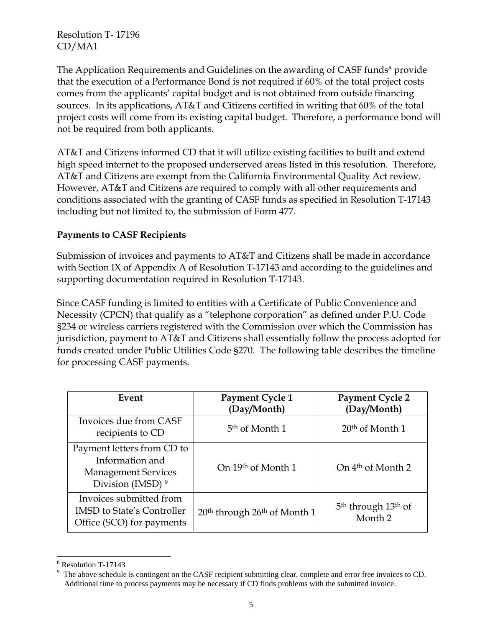The Application Requirements and Guidelines on the awarding of CASF funds<sup>8</sup> provide that the execution of a Performance Bond is not required if 60% of the total project costs comes from the applicants' capital budget and is not obtained from outside financing sources. In its applications, AT&T and Citizens certified in writing that 60% of the total project costs will come from its existing capital budget. Therefore, a performance bond will not be required from both applicants.

AT&T and Citizens informed CD that it will utilize existing facilities to built and extend high speed internet to the proposed underserved areas listed in this resolution. Therefore, AT&T and Citizens are exempt from the California Environmental Quality Act review. However, AT&T and Citizens are required to comply with all other requirements and conditions associated with the granting of CASF funds as specified in Resolution T-17143 including but not limited to, the submission of Form 477.

#### **Payments to CASF Recipients**

Submission of invoices and payments to AT&T and Citizens shall be made in accordance with Section IX of Appendix A of Resolution T-17143 and according to the guidelines and supporting documentation required in Resolution T-17143.

Since CASF funding is limited to entities with a Certificate of Public Convenience and Necessity (CPCN) that qualify as a "telephone corporation" as defined under P.U. Code §234 or wireless carriers registered with the Commission over which the Commission has jurisdiction, payment to AT&T and Citizens shall essentially follow the process adopted for funds created under Public Utilities Code §270. The following table describes the timeline for processing CASF payments.

| Event                                                                                                       | Payment Cycle 1<br>(Day/Month)                       | <b>Payment Cycle 2</b><br>(Day/Month)                             |
|-------------------------------------------------------------------------------------------------------------|------------------------------------------------------|-------------------------------------------------------------------|
| Invoices due from CASF<br>recipients to CD                                                                  | 5 <sup>th</sup> of Month 1                           | $20th$ of Month 1                                                 |
| Payment letters from CD to<br>Information and<br><b>Management Services</b><br>Division (IMSD) <sup>9</sup> | On 19th of Month 1                                   | On $4th$ of Month 2                                               |
| Invoices submitted from<br><b>IMSD</b> to State's Controller<br>Office (SCO) for payments                   | 20 <sup>th</sup> through 26 <sup>th</sup> of Month 1 | 5 <sup>th</sup> through 13 <sup>th</sup> of<br>Month <sub>2</sub> |

 $\overline{\phantom{a}}$ 8 Resolution T-17143

<sup>9</sup> The above schedule is contingent on the CASF recipient submitting clear, complete and error free invoices to CD. Additional time to process payments may be necessary if CD finds problems with the submitted invoice.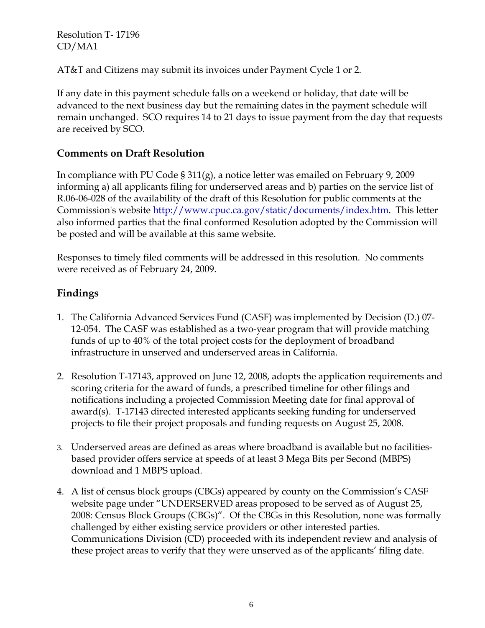AT&T and Citizens may submit its invoices under Payment Cycle 1 or 2.

If any date in this payment schedule falls on a weekend or holiday, that date will be advanced to the next business day but the remaining dates in the payment schedule will remain unchanged. SCO requires 14 to 21 days to issue payment from the day that requests are received by SCO.

## **Comments on Draft Resolution**

In compliance with PU Code § 311(g), a notice letter was emailed on February 9, 2009 informing a) all applicants filing for underserved areas and b) parties on the service list of R.06-06-028 of the availability of the draft of this Resolution for public comments at the Commission's website http://www.cpuc.ca.gov/static/documents/index.htm. This letter also informed parties that the final conformed Resolution adopted by the Commission will be posted and will be available at this same website.

Responses to timely filed comments will be addressed in this resolution. No comments were received as of February 24, 2009.

# **Findings**

- 1. The California Advanced Services Fund (CASF) was implemented by Decision (D.) 07- 12-054. The CASF was established as a two-year program that will provide matching funds of up to 40% of the total project costs for the deployment of broadband infrastructure in unserved and underserved areas in California.
- 2. Resolution T-17143, approved on June 12, 2008, adopts the application requirements and scoring criteria for the award of funds, a prescribed timeline for other filings and notifications including a projected Commission Meeting date for final approval of award(s). T-17143 directed interested applicants seeking funding for underserved projects to file their project proposals and funding requests on August 25, 2008.
- 3. Underserved areas are defined as areas where broadband is available but no facilitiesbased provider offers service at speeds of at least 3 Mega Bits per Second (MBPS) download and 1 MBPS upload.
- 4. A list of census block groups (CBGs) appeared by county on the Commission's CASF website page under "UNDERSERVED areas proposed to be served as of August 25, 2008: Census Block Groups (CBGs)". Of the CBGs in this Resolution, none was formally challenged by either existing service providers or other interested parties. Communications Division (CD) proceeded with its independent review and analysis of these project areas to verify that they were unserved as of the applicants' filing date.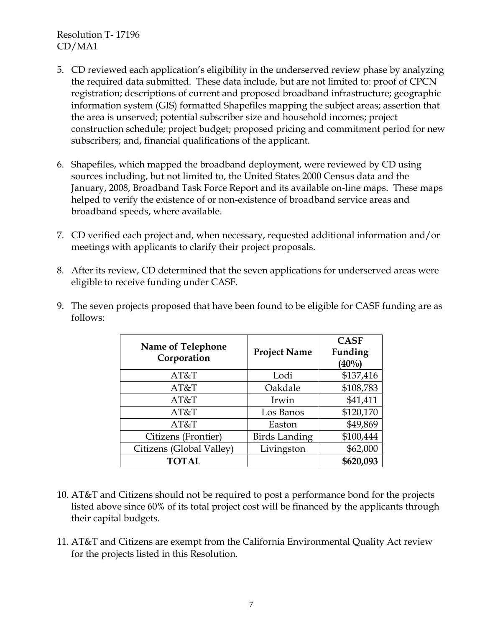- 5. CD reviewed each application's eligibility in the underserved review phase by analyzing the required data submitted. These data include, but are not limited to: proof of CPCN registration; descriptions of current and proposed broadband infrastructure; geographic information system (GIS) formatted Shapefiles mapping the subject areas; assertion that the area is unserved; potential subscriber size and household incomes; project construction schedule; project budget; proposed pricing and commitment period for new subscribers; and, financial qualifications of the applicant.
- 6. Shapefiles, which mapped the broadband deployment, were reviewed by CD using sources including, but not limited to, the United States 2000 Census data and the January, 2008, Broadband Task Force Report and its available on-line maps. These maps helped to verify the existence of or non-existence of broadband service areas and broadband speeds, where available.
- 7. CD verified each project and, when necessary, requested additional information and/or meetings with applicants to clarify their project proposals.
- 8. After its review, CD determined that the seven applications for underserved areas were eligible to receive funding under CASF.

| Name of Telephone<br>Corporation | <b>Project Name</b>  | <b>CASF</b><br>Funding<br>$(40\%)$ |
|----------------------------------|----------------------|------------------------------------|
| AT&T                             | Lodi                 | \$137,416                          |
| AT&T                             | Oakdale              | \$108,783                          |
| AT&T                             | Irwin                | \$41,411                           |
| AT&T                             | Los Banos            | \$120,170                          |
| AT&T                             | Easton               | \$49,869                           |
| Citizens (Frontier)              | <b>Birds Landing</b> | \$100,444                          |
| Citizens (Global Valley)         | Livingston           | \$62,000                           |
| <b>TOTAL</b>                     |                      | \$620,093                          |

9. The seven projects proposed that have been found to be eligible for CASF funding are as follows:

- 10. AT&T and Citizens should not be required to post a performance bond for the projects listed above since 60% of its total project cost will be financed by the applicants through their capital budgets.
- 11. AT&T and Citizens are exempt from the California Environmental Quality Act review for the projects listed in this Resolution.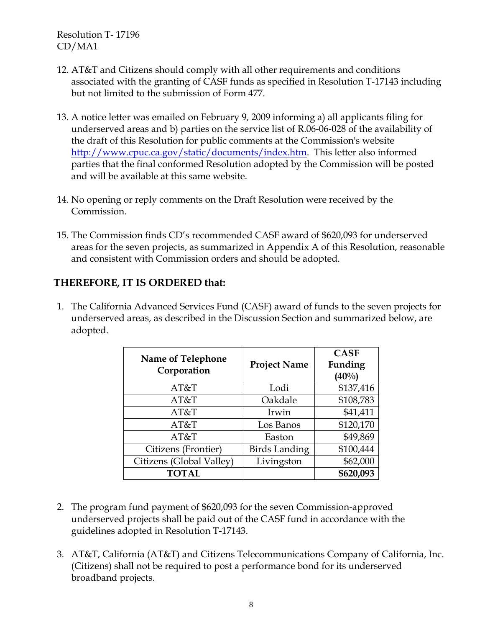- 12. AT&T and Citizens should comply with all other requirements and conditions associated with the granting of CASF funds as specified in Resolution T-17143 including but not limited to the submission of Form 477.
- 13. A notice letter was emailed on February 9, 2009 informing a) all applicants filing for underserved areas and b) parties on the service list of R.06-06-028 of the availability of the draft of this Resolution for public comments at the Commission's website http://www.cpuc.ca.gov/static/documents/index.htm. This letter also informed parties that the final conformed Resolution adopted by the Commission will be posted and will be available at this same website.
- 14. No opening or reply comments on the Draft Resolution were received by the Commission.
- 15. The Commission finds CD's recommended CASF award of \$620,093 for underserved areas for the seven projects, as summarized in Appendix A of this Resolution, reasonable and consistent with Commission orders and should be adopted.

## **THEREFORE, IT IS ORDERED that:**

1. The California Advanced Services Fund (CASF) award of funds to the seven projects for underserved areas, as described in the Discussion Section and summarized below, are adopted.

| Name of Telephone<br>Corporation | <b>Project Name</b>  | <b>CASF</b><br>Funding<br>$(40\%)$ |
|----------------------------------|----------------------|------------------------------------|
| AT&T                             | Lodi                 | \$137,416                          |
| AT&T                             | Oakdale              | \$108,783                          |
| AT&T                             | Irwin                | \$41,411                           |
| AT&T                             | Los Banos            | \$120,170                          |
| AT&T                             | Easton               | \$49,869                           |
| Citizens (Frontier)              | <b>Birds Landing</b> | \$100,444                          |
| Citizens (Global Valley)         | Livingston           | \$62,000                           |
| <b>TOTAL</b>                     |                      | \$620,093                          |

- 2. The program fund payment of \$620,093 for the seven Commission-approved underserved projects shall be paid out of the CASF fund in accordance with the guidelines adopted in Resolution T-17143.
- 3. AT&T, California (AT&T) and Citizens Telecommunications Company of California, Inc. (Citizens) shall not be required to post a performance bond for its underserved broadband projects.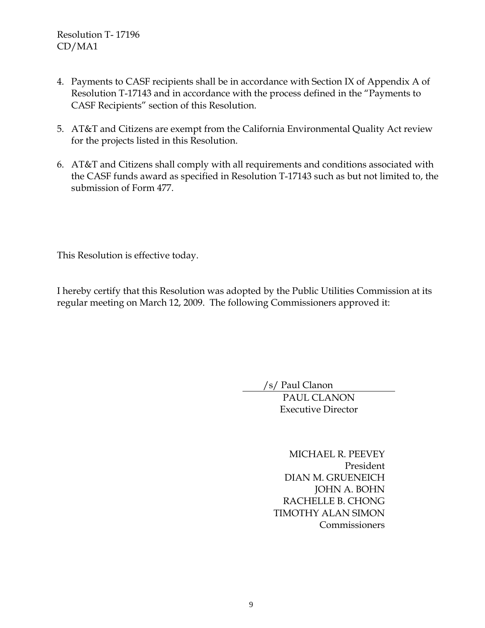- 4. Payments to CASF recipients shall be in accordance with Section IX of Appendix A of Resolution T-17143 and in accordance with the process defined in the "Payments to CASF Recipients" section of this Resolution.
- 5. AT&T and Citizens are exempt from the California Environmental Quality Act review for the projects listed in this Resolution.
- 6. AT&T and Citizens shall comply with all requirements and conditions associated with the CASF funds award as specified in Resolution T-17143 such as but not limited to, the submission of Form 477.

This Resolution is effective today.

I hereby certify that this Resolution was adopted by the Public Utilities Commission at its regular meeting on March 12, 2009. The following Commissioners approved it:

/s/ Paul Clanon

PAUL CLANON Executive Director

MICHAEL R. PEEVEY President DIAN M. GRUENEICH JOHN A. BOHN RACHELLE B. CHONG TIMOTHY ALAN SIMON Commissioners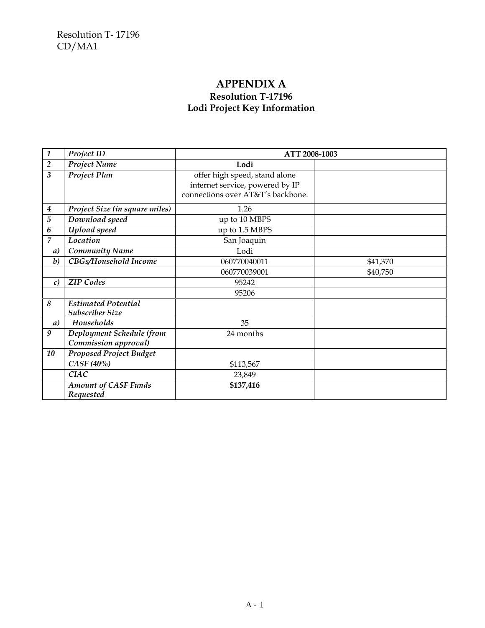## **APPENDIX A Resolution T-17196 Lodi Project Key Information**

| $\overline{\mathbf{1}}$ | Project ID                                           | ATT 2008-1003                     |          |
|-------------------------|------------------------------------------------------|-----------------------------------|----------|
| $\overline{2}$          | Project Name                                         | Lodi                              |          |
| $\overline{\mathbf{3}}$ | Project Plan                                         | offer high speed, stand alone     |          |
|                         |                                                      | internet service, powered by IP   |          |
|                         |                                                      | connections over AT&T's backbone. |          |
| $\boldsymbol{4}$        | Project Size (in square miles)                       | 1.26                              |          |
| $\sqrt{5}$              | Download speed                                       | up to 10 MBPS                     |          |
| 6                       | Upload speed                                         | up to 1.5 MBPS                    |          |
| $\overline{7}$          | Location                                             | San Joaquin                       |          |
| a)                      | <b>Community Name</b>                                | Lodi                              |          |
| $\boldsymbol{b}$        | CBGs/Household Income                                | 060770040011                      | \$41,370 |
|                         |                                                      | 060770039001                      | \$40,750 |
| $\mathcal{C}$           | <b>ZIP</b> Codes                                     | 95242                             |          |
|                         |                                                      | 95206                             |          |
| 8                       | <b>Estimated Potential</b><br><b>Subscriber Size</b> |                                   |          |
| a)                      | Households                                           | 35                                |          |
| 9                       | Deployment Schedule (from                            | 24 months                         |          |
|                         | Commission approval)                                 |                                   |          |
| 10                      | <b>Proposed Project Budget</b>                       |                                   |          |
|                         | CASF (40%)                                           | \$113,567                         |          |
|                         | <b>CIAC</b>                                          | 23,849                            |          |
|                         | <b>Amount of CASF Funds</b>                          | \$137,416                         |          |
|                         | Requested                                            |                                   |          |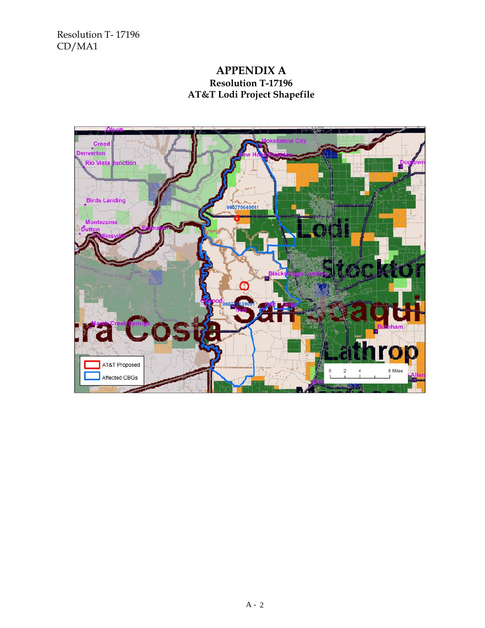### **APPENDIX A Resolution T-17196 AT&T Lodi Project Shapefile**

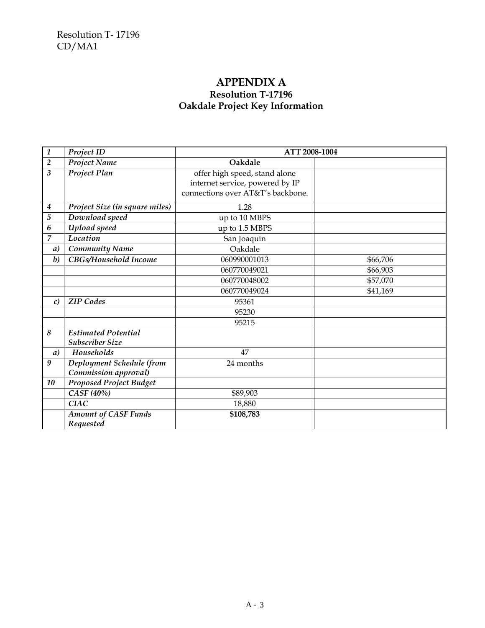## **APPENDIX A Resolution T-17196 Oakdale Project Key Information**

| $\mathbf{1}$     | Project ID                                           | ATT 2008-1004                                                                                         |          |
|------------------|------------------------------------------------------|-------------------------------------------------------------------------------------------------------|----------|
| $\overline{2}$   | Project Name                                         | Oakdale                                                                                               |          |
| $\overline{3}$   | Project Plan                                         | offer high speed, stand alone<br>internet service, powered by IP<br>connections over AT&T's backbone. |          |
| $\boldsymbol{4}$ | Project Size (in square miles)                       | 1.28                                                                                                  |          |
| $\overline{5}$   | Download speed                                       | up to 10 MBPS                                                                                         |          |
| 6                | Upload speed                                         | up to 1.5 MBPS                                                                                        |          |
| 7                | Location                                             | San Joaquin                                                                                           |          |
| a)               | <b>Community Name</b>                                | Oakdale                                                                                               |          |
| $\boldsymbol{b}$ | CBGs/Household Income                                | 060990001013                                                                                          | \$66,706 |
|                  |                                                      | 060770049021                                                                                          | \$66,903 |
|                  |                                                      | 060770048002                                                                                          | \$57,070 |
|                  |                                                      | 060770049024                                                                                          | \$41,169 |
| $\mathcal{C}$    | <b>ZIP</b> Codes                                     | 95361                                                                                                 |          |
|                  |                                                      | 95230                                                                                                 |          |
|                  |                                                      | 95215                                                                                                 |          |
| 8                | <b>Estimated Potential</b><br><b>Subscriber Size</b> |                                                                                                       |          |
| a)               | Households                                           | 47                                                                                                    |          |
| 9                | Deployment Schedule (from<br>Commission approval)    | 24 months                                                                                             |          |
| 10               | <b>Proposed Project Budget</b>                       |                                                                                                       |          |
|                  | CASF (40%)                                           | \$89,903                                                                                              |          |
|                  | <b>CIAC</b>                                          | 18,880                                                                                                |          |
|                  | <b>Amount of CASF Funds</b><br>Requested             | \$108,783                                                                                             |          |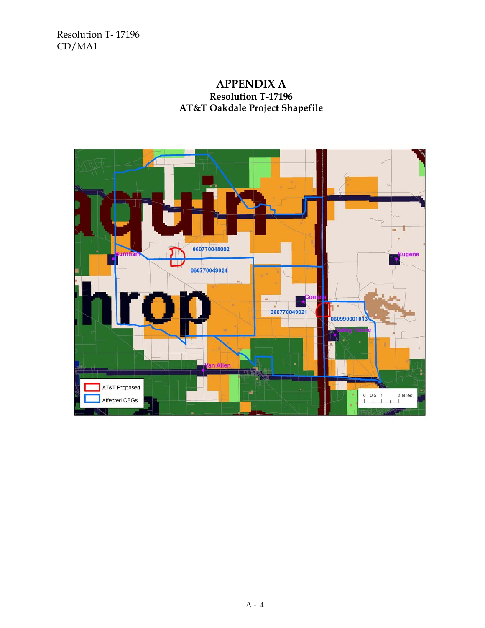## **APPENDIX A Resolution T-17196 AT&T Oakdale Project Shapefile**

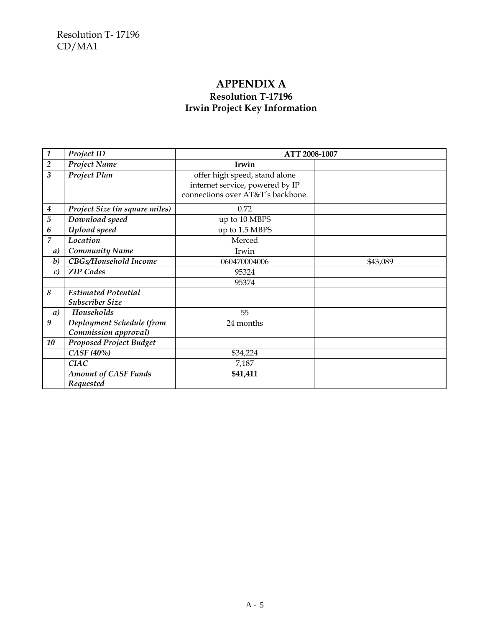## **APPENDIX A Resolution T-17196 Irwin Project Key Information**

| $\mathbf{1}$            | Project ID                     | ATT 2008-1007                     |          |
|-------------------------|--------------------------------|-----------------------------------|----------|
| $\overline{2}$          | Project Name                   | Irwin                             |          |
| $\overline{\mathbf{3}}$ | Project Plan                   | offer high speed, stand alone     |          |
|                         |                                | internet service, powered by IP   |          |
|                         |                                | connections over AT&T's backbone. |          |
| $\boldsymbol{4}$        | Project Size (in square miles) | 0.72                              |          |
| 5                       | Download speed                 | up to 10 MBPS                     |          |
| 6                       | Upload speed                   | up to 1.5 MBPS                    |          |
| 7                       | Location                       | Merced                            |          |
| a)                      | <b>Community Name</b>          | Irwin                             |          |
| $\boldsymbol{b}$        | CBGs/Household Income          | 060470004006                      | \$43,089 |
| $\mathcal{C}$           | <b>ZIP</b> Codes               | 95324                             |          |
|                         |                                | 95374                             |          |
| 8                       | <b>Estimated Potential</b>     |                                   |          |
|                         | <b>Subscriber Size</b>         |                                   |          |
| a)                      | Households                     | 55                                |          |
| 9                       | Deployment Schedule (from      | 24 months                         |          |
|                         | Commission approval)           |                                   |          |
| 10                      | <b>Proposed Project Budget</b> |                                   |          |
|                         | CASF (40%)                     | \$34,224                          |          |
|                         | <b>CIAC</b>                    | 7,187                             |          |
|                         | <b>Amount of CASF Funds</b>    | \$41,411                          |          |
|                         | Requested                      |                                   |          |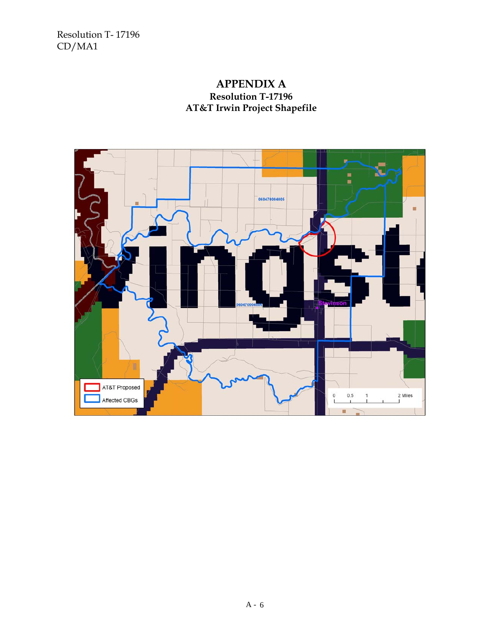### **APPENDIX A Resolution T-17196 AT&T Irwin Project Shapefile**

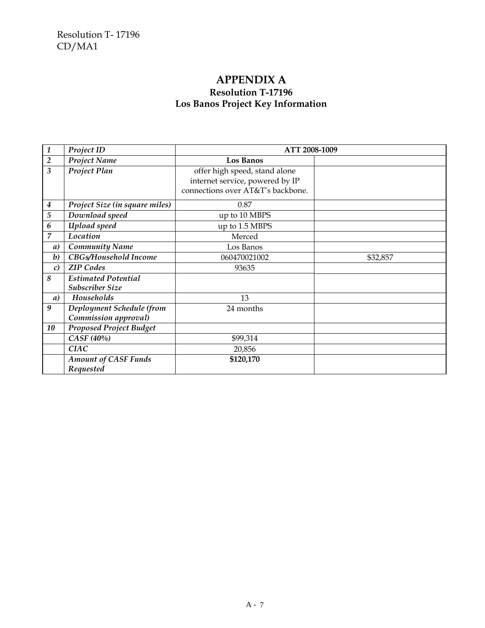## **APPENDIX A Resolution T-17196 Los Banos Project Key Information**

| $\overline{\mathbf{1}}$ | Project ID                                           | ATT 2008-1009                                                                                         |          |
|-------------------------|------------------------------------------------------|-------------------------------------------------------------------------------------------------------|----------|
| $\sqrt{2}$              | <b>Project Name</b>                                  | Los Banos                                                                                             |          |
| 3                       | Project Plan                                         | offer high speed, stand alone<br>internet service, powered by IP<br>connections over AT&T's backbone. |          |
| $\boldsymbol{4}$        | Project Size (in square miles)                       | 0.87                                                                                                  |          |
| $\sqrt{5}$              | Download speed                                       | up to 10 MBPS                                                                                         |          |
| 6                       | Upload speed                                         | up to 1.5 MBPS                                                                                        |          |
| $\overline{7}$          | Location                                             | Merced                                                                                                |          |
| $\boldsymbol{a}$        | <b>Community Name</b>                                | Los Banos                                                                                             |          |
| $\boldsymbol{b}$        | CBGs/Household Income                                | 060470021002                                                                                          | \$32,857 |
| $\mathcal{C}$           | <b>ZIP</b> Codes                                     | 93635                                                                                                 |          |
| 8                       | <b>Estimated Potential</b><br><b>Subscriber Size</b> |                                                                                                       |          |
| a)                      | Households                                           | 13                                                                                                    |          |
| 9                       | Deployment Schedule (from<br>Commission approval)    | 24 months                                                                                             |          |
| 10                      | <b>Proposed Project Budget</b>                       |                                                                                                       |          |
|                         | CASF (40%)                                           | \$99,314                                                                                              |          |
|                         | <b>CIAC</b>                                          | 20,856                                                                                                |          |
|                         | <b>Amount of CASF Funds</b><br>Requested             | \$120,170                                                                                             |          |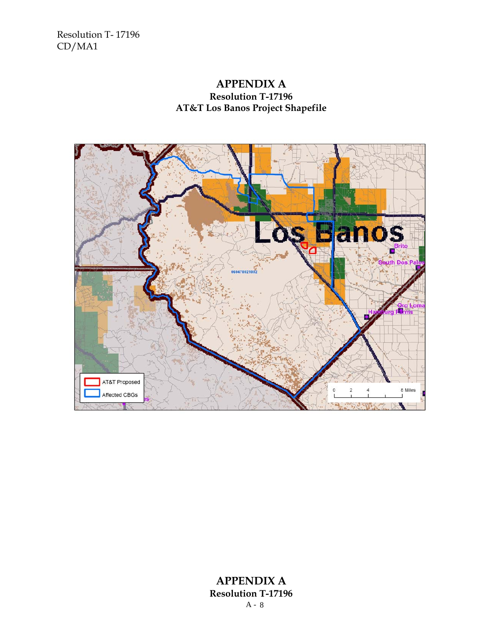#### **APPENDIX A Resolution T-17196 AT&T Los Banos Project Shapefile**



#### A - 8 **APPENDIX A Resolution T-17196**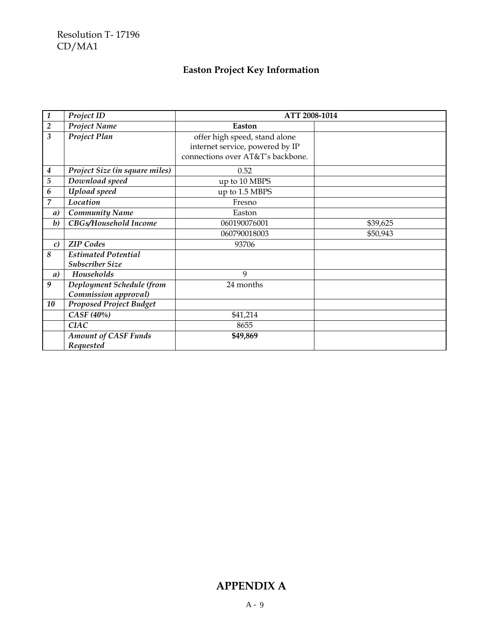# **Easton Project Key Information**

| $\boldsymbol{1}$        | Project ID                     | ATT 2008-1014                     |          |
|-------------------------|--------------------------------|-----------------------------------|----------|
| $\overline{2}$          | Project Name                   | Easton                            |          |
| $\overline{\mathbf{3}}$ | Project Plan                   | offer high speed, stand alone     |          |
|                         |                                | internet service, powered by IP   |          |
|                         |                                | connections over AT&T's backbone. |          |
| $\boldsymbol{4}$        | Project Size (in square miles) | 0.52                              |          |
| $\overline{5}$          | Download speed                 | up to 10 MBPS                     |          |
| 6                       | Upload speed                   | up to 1.5 MBPS                    |          |
| 7                       | Location                       | Fresno                            |          |
| a)                      | <b>Community Name</b>          | Easton                            |          |
| $\boldsymbol{b}$        | CBGs/Household Income          | 060190076001                      | \$39,625 |
|                         |                                | 060790018003                      | \$50,943 |
| c)                      | <b>ZIP</b> Codes               | 93706                             |          |
| 8                       | <b>Estimated Potential</b>     |                                   |          |
|                         | <b>Subscriber Size</b>         |                                   |          |
| $\boldsymbol{a}$        | Households                     | 9                                 |          |
| 9                       | Deployment Schedule (from      | 24 months                         |          |
|                         | Commission approval)           |                                   |          |
| 10                      | <b>Proposed Project Budget</b> |                                   |          |
|                         | CASF (40%)                     | \$41,214                          |          |
|                         | <b>CIAC</b>                    | 8655                              |          |
|                         | <b>Amount of CASF Funds</b>    | \$49,869                          |          |
|                         | Requested                      |                                   |          |

# **APPENDIX A**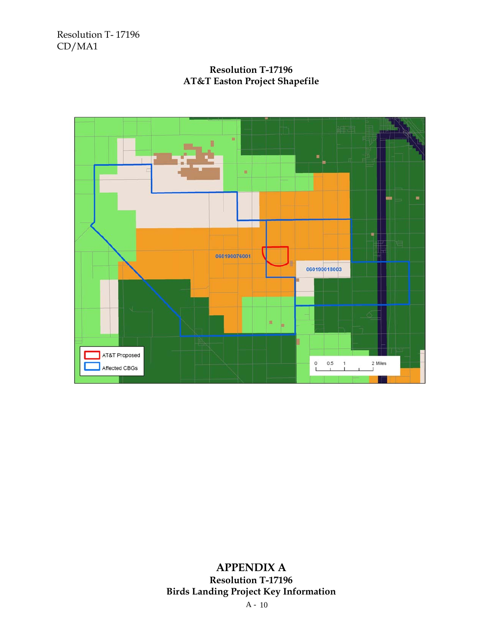#### **Resolution T-17196 AT&T Easton Project Shapefile**



# **APPENDIX A Resolution T-17196 Birds Landing Project Key Information**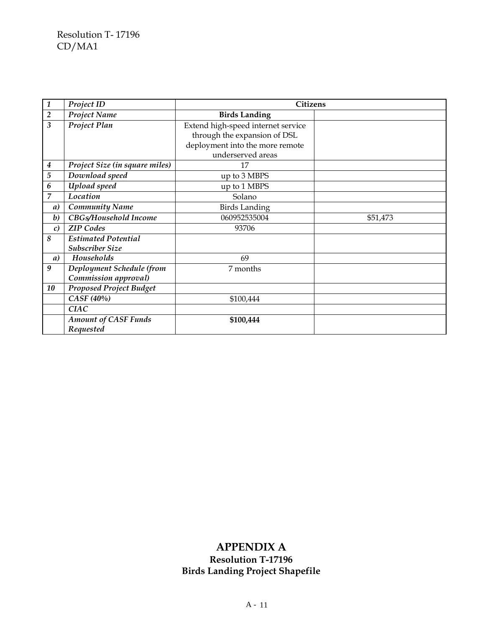| $\mathbf{1}$     | Project ID                               | <b>Citizens</b>                    |          |
|------------------|------------------------------------------|------------------------------------|----------|
| $\overline{2}$   | Project Name                             | <b>Birds Landing</b>               |          |
| $\overline{3}$   | Project Plan                             | Extend high-speed internet service |          |
|                  |                                          | through the expansion of DSL       |          |
|                  |                                          | deployment into the more remote    |          |
|                  |                                          | underserved areas                  |          |
| 4                | Project Size (in square miles)           | 17                                 |          |
| $\overline{5}$   | Download speed                           | up to 3 MBPS                       |          |
| 6                | Upload speed                             | up to 1 MBPS                       |          |
| $\overline{7}$   | Location                                 | Solano                             |          |
| a)               | <b>Community Name</b>                    | <b>Birds Landing</b>               |          |
| $\boldsymbol{b}$ | CBGs/Household Income                    | 060952535004                       | \$51,473 |
| $\mathcal{C}$    | <b>ZIP</b> Codes                         | 93706                              |          |
| 8                | <b>Estimated Potential</b>               |                                    |          |
|                  | <b>Subscriber Size</b>                   |                                    |          |
| a)               | Households                               | 69                                 |          |
| 9                | Deployment Schedule (from                | 7 months                           |          |
|                  | Commission approval)                     |                                    |          |
| 10               | <b>Proposed Project Budget</b>           |                                    |          |
|                  | CASF (40%)                               | \$100,444                          |          |
|                  | <b>CIAC</b>                              |                                    |          |
|                  | <b>Amount of CASF Funds</b><br>Requested | \$100,444                          |          |

## **APPENDIX A Resolution T-17196 Birds Landing Project Shapefile**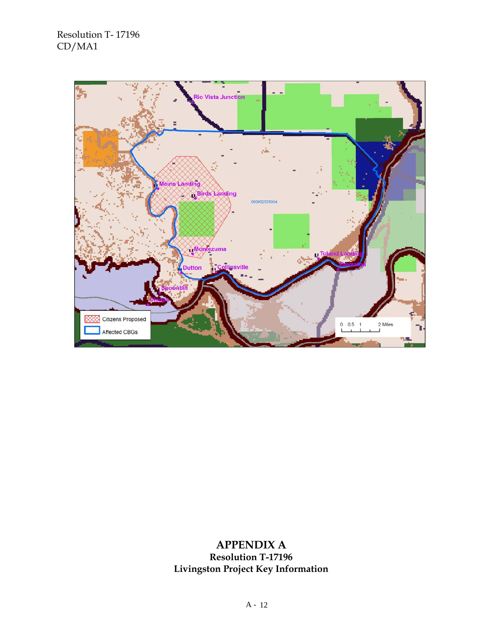

## **APPENDIX A Resolution T-17196 Livingston Project Key Information**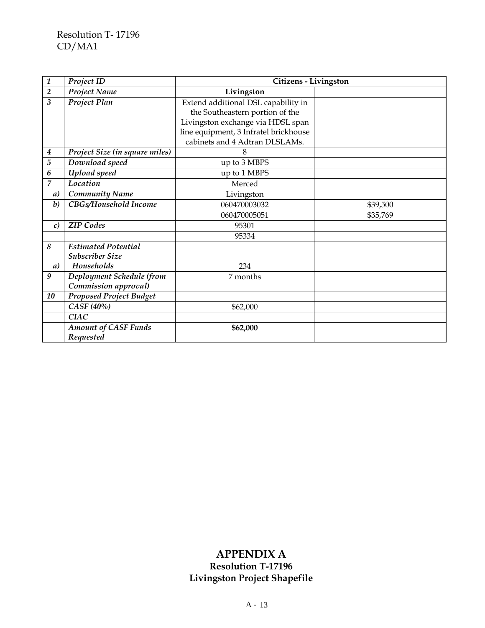| $\boldsymbol{1}$        | Project ID                     | Citizens - Livingston                 |          |
|-------------------------|--------------------------------|---------------------------------------|----------|
| $\overline{2}$          | Project Name                   | Livingston                            |          |
| $\overline{\mathbf{3}}$ | Project Plan                   | Extend additional DSL capability in   |          |
|                         |                                | the Southeastern portion of the       |          |
|                         |                                | Livingston exchange via HDSL span     |          |
|                         |                                | line equipment, 3 Infratel brickhouse |          |
|                         |                                | cabinets and 4 Adtran DLSLAMs.        |          |
| $\boldsymbol{4}$        | Project Size (in square miles) | 8                                     |          |
| 5                       | Download speed                 | up to 3 MBPS                          |          |
| 6                       | Upload speed                   | up to 1 MBPS                          |          |
| 7                       | Location                       | Merced                                |          |
| a)                      | <b>Community Name</b>          | Livingston                            |          |
| $\boldsymbol{b}$        | CBGs/Household Income          | 060470003032                          | \$39,500 |
|                         |                                | 060470005051                          | \$35,769 |
| $\mathcal{C}$           | <b>ZIP</b> Codes               | 95301                                 |          |
|                         |                                | 95334                                 |          |
| 8                       | <b>Estimated Potential</b>     |                                       |          |
|                         | <b>Subscriber Size</b>         |                                       |          |
| a)                      | Households                     | 234                                   |          |
| $\boldsymbol{9}$        | Deployment Schedule (from      | 7 months                              |          |
|                         | Commission approval)           |                                       |          |
| 10                      | <b>Proposed Project Budget</b> |                                       |          |
|                         | CASF (40%)                     | \$62,000                              |          |
|                         | <b>CIAC</b>                    |                                       |          |
|                         | <b>Amount of CASF Funds</b>    | \$62,000                              |          |
|                         | Requested                      |                                       |          |

# **APPENDIX A**

**Resolution T-17196 Livingston Project Shapefile**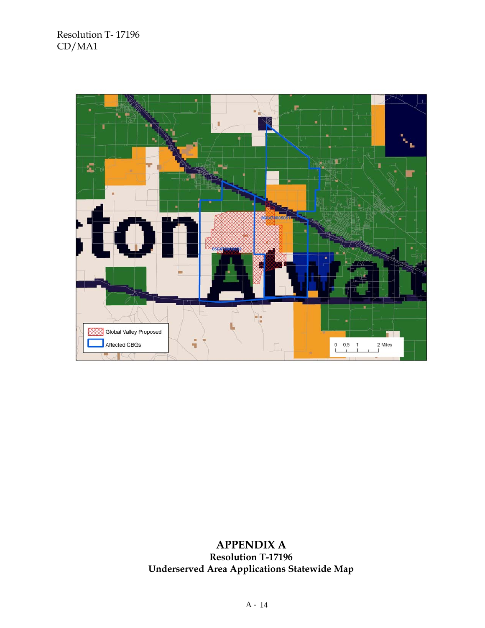

## **APPENDIX A Resolution T-17196 Underserved Area Applications Statewide Map**